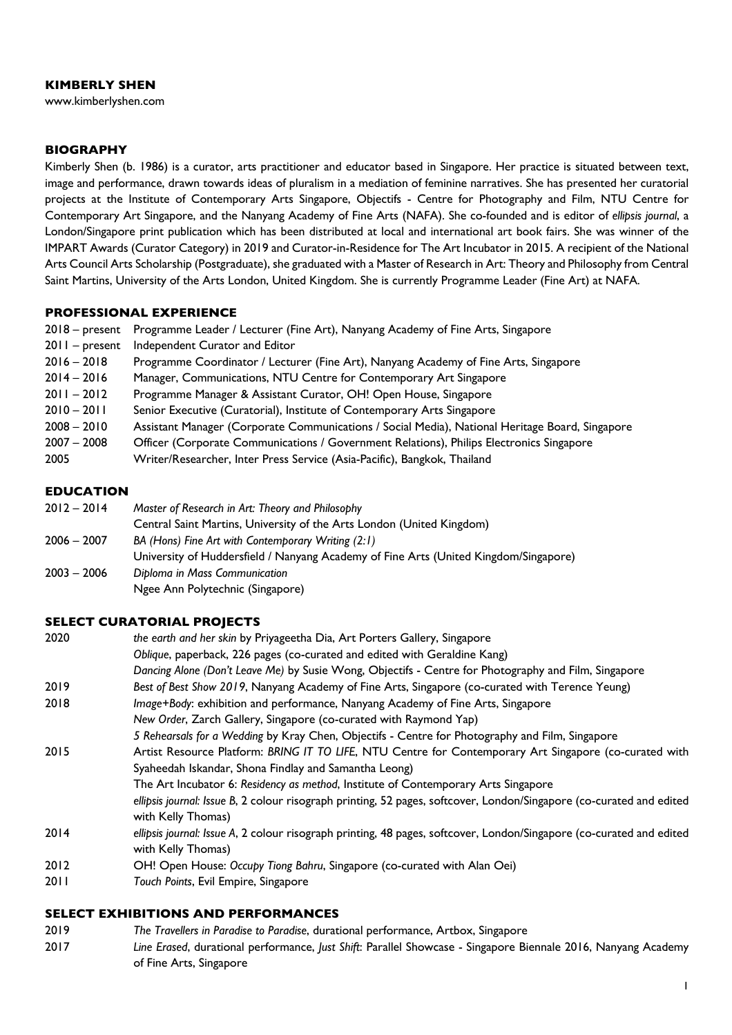#### **KIMBERLY SHEN**

www.kimberlyshen.com

## **BIOGRAPHY**

Kimberly Shen (b. 1986) is a curator, arts practitioner and educator based in Singapore. Her practice is situated between text, image and performance, drawn towards ideas of pluralism in a mediation of feminine narratives. She has presented her curatorial projects at the Institute of Contemporary Arts Singapore, Objectifs - Centre for Photography and Film, NTU Centre for Contemporary Art Singapore, and the Nanyang Academy of Fine Arts (NAFA). She co-founded and is editor of *ellipsis journal*, a London/Singapore print publication which has been distributed at local and international art book fairs. She was winner of the IMPART Awards (Curator Category) in 2019 and Curator-in-Residence for The Art Incubator in 2015. A recipient of the National Arts Council Arts Scholarship (Postgraduate), she graduated with a Master of Research in Art: Theory and Philosophy from Central Saint Martins, University of the Arts London, United Kingdom. She is currently Programme Leader (Fine Art) at NAFA.

#### **PROFESSIONAL EXPERIENCE**

|  | 2018 – present Programme Leader / Lecturer (Fine Art), Nanyang Academy of Fine Arts, Singapore |  |  |  |  |  |  |
|--|------------------------------------------------------------------------------------------------|--|--|--|--|--|--|
|--|------------------------------------------------------------------------------------------------|--|--|--|--|--|--|

- 2011 present Independent Curator and Editor
- 2016 2018 Programme Coordinator / Lecturer (Fine Art), Nanyang Academy of Fine Arts, Singapore
- 2014 2016 Manager, Communications, NTU Centre for Contemporary Art Singapore
- 2011 2012 Programme Manager & Assistant Curator, OH! Open House, Singapore
- 2010 2011 Senior Executive (Curatorial), Institute of Contemporary Arts Singapore
- 2008 2010 Assistant Manager (Corporate Communications / Social Media), National Heritage Board, Singapore
- 2007 2008 Officer (Corporate Communications / Government Relations), Philips Electronics Singapore
- 2005 Writer/Researcher, Inter Press Service (Asia-Pacific), Bangkok, Thailand

## **EDUCATION**

| Master of Research in Art: Theory and Philosophy                                     |
|--------------------------------------------------------------------------------------|
| Central Saint Martins, University of the Arts London (United Kingdom)                |
| BA (Hons) Fine Art with Contemporary Writing (2:1)                                   |
| University of Huddersfield / Nanyang Academy of Fine Arts (United Kingdom/Singapore) |
| Diploma in Mass Communication                                                        |
| Ngee Ann Polytechnic (Singapore)                                                     |
|                                                                                      |

#### **SELECT CURATORIAL PROJECTS**

| 2020 | the earth and her skin by Priyageetha Dia, Art Porters Gallery, Singapore                                            |
|------|----------------------------------------------------------------------------------------------------------------------|
|      | Oblique, paperback, 226 pages (co-curated and edited with Geraldine Kang)                                            |
|      | Dancing Alone (Don't Leave Me) by Susie Wong, Objectifs - Centre for Photography and Film, Singapore                 |
| 2019 | Best of Best Show 2019, Nanyang Academy of Fine Arts, Singapore (co-curated with Terence Yeung)                      |
| 2018 | Image+Body: exhibition and performance, Nanyang Academy of Fine Arts, Singapore                                      |
|      | New Order, Zarch Gallery, Singapore (co-curated with Raymond Yap)                                                    |
|      | 5 Rehearsals for a Wedding by Kray Chen, Objectifs - Centre for Photography and Film, Singapore                      |
| 2015 | Artist Resource Platform: BRING IT TO LIFE, NTU Centre for Contemporary Art Singapore (co-curated with               |
|      | Syaheedah Iskandar, Shona Findlay and Samantha Leong)                                                                |
|      | The Art Incubator 6: Residency as method, Institute of Contemporary Arts Singapore                                   |
|      | ellipsis journal: Issue B, 2 colour risograph printing, 52 pages, softcover, London/Singapore (co-curated and edited |
|      | with Kelly Thomas)                                                                                                   |
| 2014 | ellipsis journal: Issue A, 2 colour risograph printing, 48 pages, softcover, London/Singapore (co-curated and edited |
|      | with Kelly Thomas)                                                                                                   |
| 2012 | OH! Open House: Occupy Tiong Bahru, Singapore (co-curated with Alan Oei)                                             |

2011 *Touch Points*, Evil Empire, Singapore

#### **SELECT EXHIBITIONS AND PERFORMANCES**

- 2019 *The Travellers in Paradise to Paradise*, durational performance, Artbox, Singapore
- 2017 *Line Erased*, durational performance, *Just Shift*: Parallel Showcase Singapore Biennale 2016, Nanyang Academy of Fine Arts, Singapore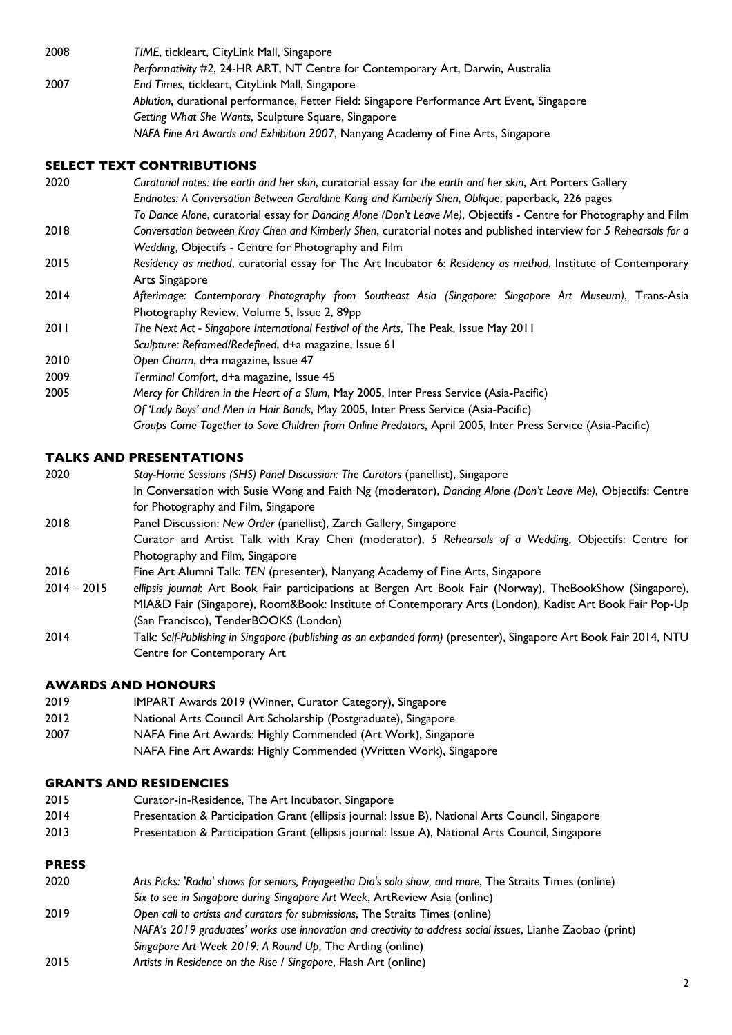2008 *TIME*, tickleart, CityLink Mall, Singapore *Performativity #2*, 24-HR ART, NT Centre for Contemporary Art, Darwin, Australia 2007 *End Times*, tickleart, CityLink Mall, Singapore *Ablution*, durational performance, Fetter Field: Singapore Performance Art Event, Singapore *Getting What She Wants*, Sculpture Square, Singapore *NAFA Fine Art Awards and Exhibition 2007*, Nanyang Academy of Fine Arts, Singapore

## **SELECT TEXT CONTRIBUTIONS**

| 2020 | Curatorial notes: the earth and her skin, curatorial essay for the earth and her skin, Art Porters Gallery                                                                                                           |  |
|------|----------------------------------------------------------------------------------------------------------------------------------------------------------------------------------------------------------------------|--|
|      | Endnotes: A Conversation Between Geraldine Kang and Kimberly Shen, Oblique, paperback, 226 pages<br>To Dance Alone, curatorial essay for Dancing Alone (Don't Leave Me), Objectifs - Centre for Photography and Film |  |
| 2018 | Conversation between Kray Chen and Kimberly Shen, curatorial notes and published interview for 5 Rehearsals for a<br>Wedding, Objectifs - Centre for Photography and Film                                            |  |
| 2015 | Residency as method, curatorial essay for The Art Incubator 6: Residency as method, Institute of Contemporary<br>Arts Singapore                                                                                      |  |
| 2014 | Afterimage: Contemporary Photography from Southeast Asia (Singapore: Singapore Art Museum), Trans-Asia<br>Photography Review, Volume 5, Issue 2, 89pp                                                                |  |
| 2011 | The Next Act - Singapore International Festival of the Arts, The Peak, Issue May 2011<br>Sculpture: Reframed/Redefined, d+a magazine, Issue 61                                                                       |  |
| 2010 | Open Charm, d+a magazine, Issue 47                                                                                                                                                                                   |  |
| 2009 | Terminal Comfort, d+a magazine, Issue 45                                                                                                                                                                             |  |
| 2005 | Mercy for Children in the Heart of a Slum, May 2005, Inter Press Service (Asia-Pacific)                                                                                                                              |  |
|      | Of 'Lady Boys' and Men in Hair Bands, May 2005, Inter Press Service (Asia-Pacific)                                                                                                                                   |  |
|      | Groups Come Together to Save Children from Online Predators, April 2005, Inter Press Service (Asia-Pacific)                                                                                                          |  |

## **TALKS AND PRESENTATIONS**

- 2020 *Stay-Home Sessions (SHS) Panel Discussion: The Curators* (panellist), Singapore In Conversation with Susie Wong and Faith Ng (moderator), *Dancing Alone (Don't Leave Me)*, Objectifs: Centre for Photography and Film, Singapore 2018 Panel Discussion: *New Order* (panellist), Zarch Gallery, Singapore Curator and Artist Talk with Kray Chen (moderator), *5 Rehearsals of a Wedding,* Objectifs: Centre for Photography and Film, Singapore
- 2016 Fine Art Alumni Talk: *TEN* (presenter), Nanyang Academy of Fine Arts, Singapore
- 2014 2015 *ellipsis journal*: Art Book Fair participations at Bergen Art Book Fair (Norway), TheBookShow (Singapore), MIA&D Fair (Singapore), Room&Book: Institute of Contemporary Arts (London), Kadist Art Book Fair Pop-Up (San Francisco), TenderBOOKS (London)
- 2014 Talk: *Self-Publishing in Singapore (publishing as an expanded form)* (presenter), Singapore Art Book Fair 2014, NTU Centre for Contemporary Art

# **AWARDS AND HONOURS**

- 2019 IMPART Awards 2019 (Winner, Curator Category), Singapore
- 2012 National Arts Council Art Scholarship (Postgraduate), Singapore
- 2007 NAFA Fine Art Awards: Highly Commended (Art Work), Singapore
	- NAFA Fine Art Awards: Highly Commended (Written Work), Singapore

## **GRANTS AND RESIDENCIES**

- 2015 Curator-in-Residence, The Art Incubator, Singapore
- 2014 Presentation & Participation Grant (ellipsis journal: Issue B), National Arts Council, Singapore
- 2013 Presentation & Participation Grant (ellipsis journal: Issue A), National Arts Council, Singapore

# **PRESS**

- 2020 *Arts Picks: 'Radio' shows for seniors, Priyageetha Dia's solo show, and more*, The Straits Times (online) *Six to see in Singapore during Singapore Art Week*, ArtReview Asia (online)
- 2019 *Open call to artists and curators for submissions*, The Straits Times (online)
- *NAFA's 2019 graduates' works use innovation and creativity to address social issues*, Lianhe Zaobao (print)
- *Singapore Art Week 2019: A Round Up*, The Artling (online)
- 2015 *Artists in Residence on the Rise / Singapore*, Flash Art (online)